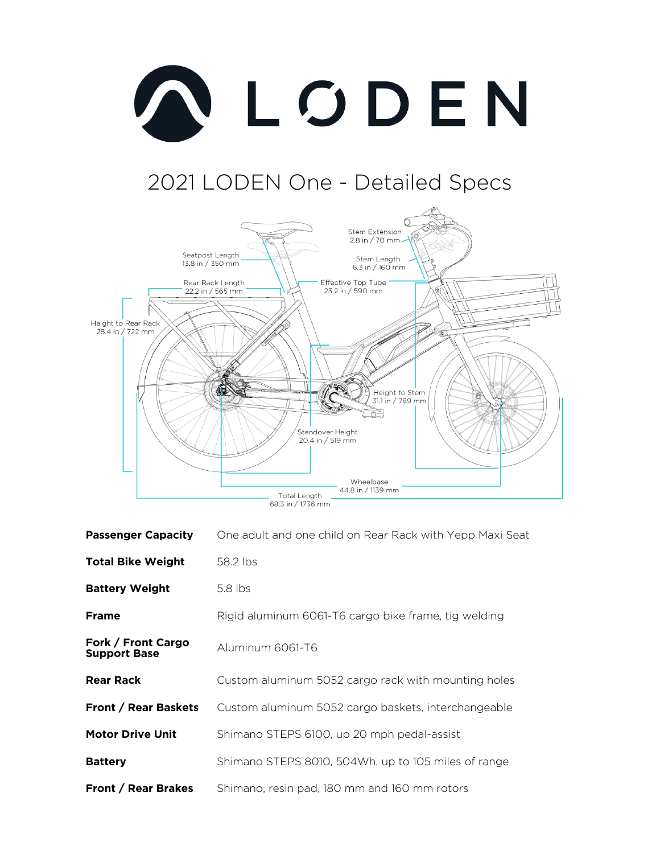

## 2021 LODEN One - Detailed Specs



| <b>Passenger Capacity</b>                 | One adult and one child on Rear Rack with Yepp Maxi Seat |
|-------------------------------------------|----------------------------------------------------------|
| <b>Total Bike Weight</b>                  | 58.2 lbs                                                 |
| <b>Battery Weight</b>                     | $5.8$ lbs                                                |
| <b>Frame</b>                              | Rigid aluminum 6061-T6 cargo bike frame, tig welding     |
| Fork / Front Cargo<br><b>Support Base</b> | Aluminum 6061-T6                                         |
| <b>Rear Rack</b>                          | Custom aluminum 5052 cargo rack with mounting holes      |
| <b>Front / Rear Baskets</b>               | Custom aluminum 5052 cargo baskets, interchangeable      |
| <b>Motor Drive Unit</b>                   | Shimano STEPS 6100, up 20 mph pedal-assist               |
| <b>Battery</b>                            | Shimano STEPS 8010, 504Wh, up to 105 miles of range      |
| <b>Front / Rear Brakes</b>                | Shimano, resin pad, 180 mm and 160 mm rotors             |